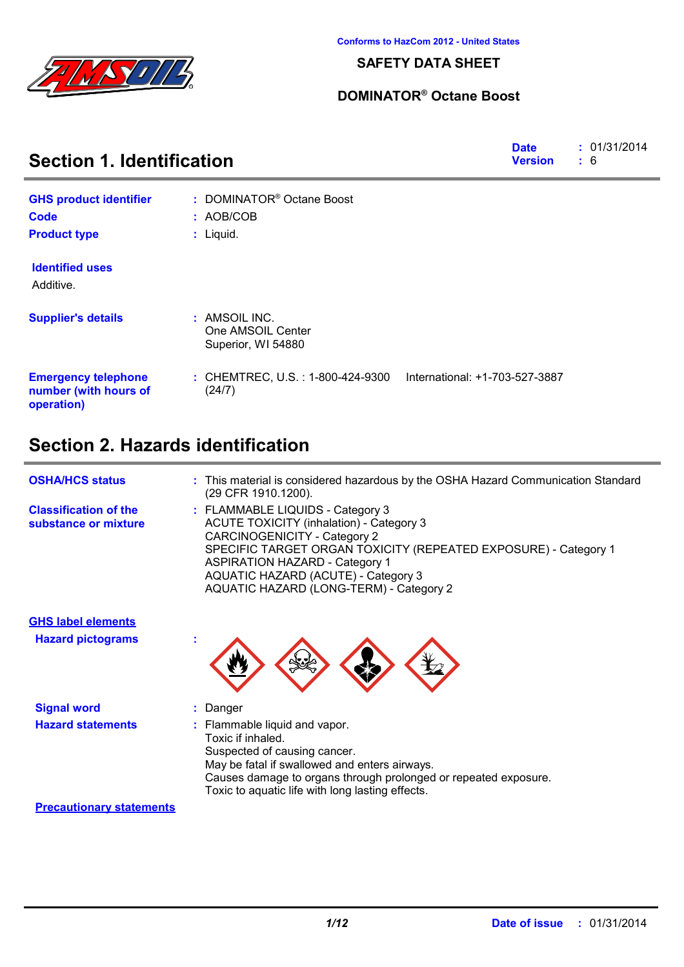

### **SAFETY DATA SHEET**

### **DOMINATOR® Octane Boost**

| <b>Section 1. Identification</b>                                  |                                                          |                                | : 01/31/2014<br>: 6 |
|-------------------------------------------------------------------|----------------------------------------------------------|--------------------------------|---------------------|
| <b>GHS product identifier</b>                                     | : DOMINATOR <sup>®</sup> Octane Boost                    |                                |                     |
| <b>Code</b>                                                       | : AOB/COB                                                |                                |                     |
| <b>Product type</b>                                               | : Liquid.                                                |                                |                     |
| <b>Identified uses</b><br>Additive.                               |                                                          |                                |                     |
| <b>Supplier's details</b>                                         | : AMSOIL INC.<br>One AMSOIL Center<br>Superior, WI 54880 |                                |                     |
| <b>Emergency telephone</b><br>number (with hours of<br>operation) | : CHEMTREC, U.S. : 1-800-424-9300<br>(24/7)              | International: +1-703-527-3887 |                     |

### **Section 2. Hazards identification**

| <b>OSHA/HCS status</b>                                | : This material is considered hazardous by the OSHA Hazard Communication Standard<br>(29 CFR 1910.1200).                                                                                                                                                                                                                 |
|-------------------------------------------------------|--------------------------------------------------------------------------------------------------------------------------------------------------------------------------------------------------------------------------------------------------------------------------------------------------------------------------|
| <b>Classification of the</b><br>substance or mixture  | : FLAMMABLE LIQUIDS - Category 3<br><b>ACUTE TOXICITY (inhalation) - Category 3</b><br><b>CARCINOGENICITY - Category 2</b><br>SPECIFIC TARGET ORGAN TOXICITY (REPEATED EXPOSURE) - Category 1<br><b>ASPIRATION HAZARD - Category 1</b><br>AQUATIC HAZARD (ACUTE) - Category 3<br>AQUATIC HAZARD (LONG-TERM) - Category 2 |
| <b>GHS label elements</b><br><b>Hazard pictograms</b> |                                                                                                                                                                                                                                                                                                                          |

| <b>Signal word</b>       | : Danger                                                        |
|--------------------------|-----------------------------------------------------------------|
| <b>Hazard statements</b> | : Flammable liquid and vapor.                                   |
|                          | Toxic if inhaled.                                               |
|                          | Suspected of causing cancer.                                    |
|                          | May be fatal if swallowed and enters airways.                   |
|                          | Causes damage to organs through prolonged or repeated exposure. |

Toxic to aquatic life with long lasting effects.

#### **Precautionary statements**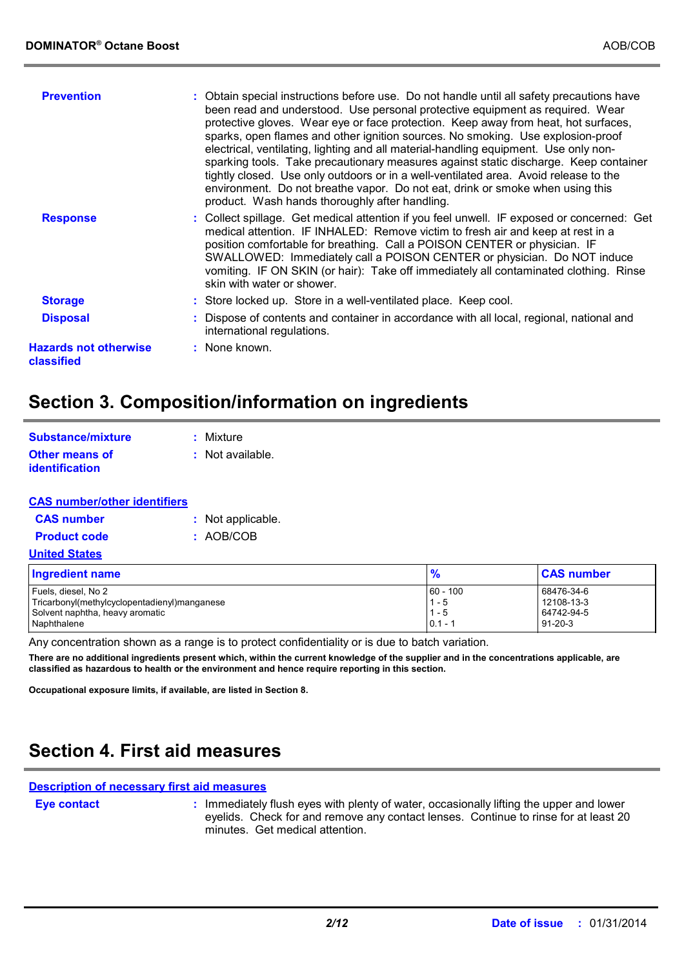| <b>Prevention</b>                          | : Obtain special instructions before use. Do not handle until all safety precautions have<br>been read and understood. Use personal protective equipment as required. Wear<br>protective gloves. Wear eye or face protection. Keep away from heat, hot surfaces,<br>sparks, open flames and other ignition sources. No smoking. Use explosion-proof<br>electrical, ventilating, lighting and all material-handling equipment. Use only non-<br>sparking tools. Take precautionary measures against static discharge. Keep container<br>tightly closed. Use only outdoors or in a well-ventilated area. Avoid release to the<br>environment. Do not breathe vapor. Do not eat, drink or smoke when using this<br>product. Wash hands thoroughly after handling. |
|--------------------------------------------|----------------------------------------------------------------------------------------------------------------------------------------------------------------------------------------------------------------------------------------------------------------------------------------------------------------------------------------------------------------------------------------------------------------------------------------------------------------------------------------------------------------------------------------------------------------------------------------------------------------------------------------------------------------------------------------------------------------------------------------------------------------|
| <b>Response</b>                            | : Collect spillage. Get medical attention if you feel unwell. IF exposed or concerned: Get<br>medical attention. IF INHALED: Remove victim to fresh air and keep at rest in a<br>position comfortable for breathing. Call a POISON CENTER or physician. IF<br>SWALLOWED: Immediately call a POISON CENTER or physician. Do NOT induce<br>vomiting. IF ON SKIN (or hair): Take off immediately all contaminated clothing. Rinse<br>skin with water or shower.                                                                                                                                                                                                                                                                                                   |
| <b>Storage</b>                             | : Store locked up. Store in a well-ventilated place. Keep cool.                                                                                                                                                                                                                                                                                                                                                                                                                                                                                                                                                                                                                                                                                                |
| <b>Disposal</b>                            | : Dispose of contents and container in accordance with all local, regional, national and<br>international regulations.                                                                                                                                                                                                                                                                                                                                                                                                                                                                                                                                                                                                                                         |
| <b>Hazards not otherwise</b><br>classified | : None known.                                                                                                                                                                                                                                                                                                                                                                                                                                                                                                                                                                                                                                                                                                                                                  |
|                                            |                                                                                                                                                                                                                                                                                                                                                                                                                                                                                                                                                                                                                                                                                                                                                                |

## **Section 3. Composition/information on ingredients**

| Substance/mixture                              | : Mixture        |
|------------------------------------------------|------------------|
| <b>Other means of</b><br><b>identification</b> | : Not available. |

| <b>CAS number/other identifiers</b> |                   |
|-------------------------------------|-------------------|
| <b>CAS number</b>                   | : Not applicable. |
| <b>Product code</b>                 | : AOB/COB         |
| <b>United States</b>                |                   |
| <b>Ingredient name</b>              |                   |
| Fuels, diesel, No 2                 |                   |

| Ingredient name                              | $\frac{9}{6}$ | <b>CAS number</b> |
|----------------------------------------------|---------------|-------------------|
| Fuels, diesel, No 2                          | $60 - 100$    | 68476-34-6        |
| Tricarbonyl(methylcyclopentadienyl)manganese | $1 - 5$       | 12108-13-3        |
| Solvent naphtha, heavy aromatic              | . - 5         | 64742-94-5        |
| Naphthalene                                  | $0.1 -$       | $91 - 20 - 3$     |

Any concentration shown as a range is to protect confidentiality or is due to batch variation.

**There are no additional ingredients present which, within the current knowledge of the supplier and in the concentrations applicable, are classified as hazardous to health or the environment and hence require reporting in this section.**

**Occupational exposure limits, if available, are listed in Section 8.**

## **Section 4. First aid measures**

### **Description of necessary first aid measures**

**Eye contact :**

: Immediately flush eyes with plenty of water, occasionally lifting the upper and lower eyelids. Check for and remove any contact lenses. Continue to rinse for at least 20 minutes. Get medical attention.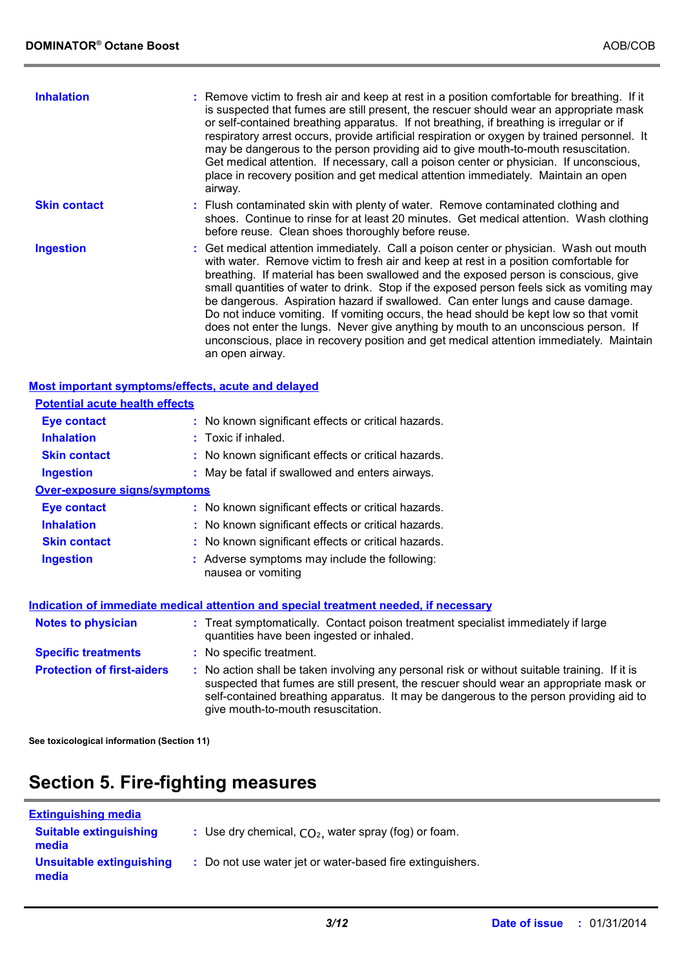| <b>Inhalation</b>                                  | : Remove victim to fresh air and keep at rest in a position comfortable for breathing. If it<br>is suspected that fumes are still present, the rescuer should wear an appropriate mask<br>or self-contained breathing apparatus. If not breathing, if breathing is irregular or if<br>respiratory arrest occurs, provide artificial respiration or oxygen by trained personnel. It<br>may be dangerous to the person providing aid to give mouth-to-mouth resuscitation.<br>Get medical attention. If necessary, call a poison center or physician. If unconscious,<br>place in recovery position and get medical attention immediately. Maintain an open<br>airway.                                                                                 |
|----------------------------------------------------|------------------------------------------------------------------------------------------------------------------------------------------------------------------------------------------------------------------------------------------------------------------------------------------------------------------------------------------------------------------------------------------------------------------------------------------------------------------------------------------------------------------------------------------------------------------------------------------------------------------------------------------------------------------------------------------------------------------------------------------------------|
| <b>Skin contact</b>                                | : Flush contaminated skin with plenty of water. Remove contaminated clothing and<br>shoes. Continue to rinse for at least 20 minutes. Get medical attention. Wash clothing<br>before reuse. Clean shoes thoroughly before reuse.                                                                                                                                                                                                                                                                                                                                                                                                                                                                                                                     |
| <b>Ingestion</b>                                   | : Get medical attention immediately. Call a poison center or physician. Wash out mouth<br>with water. Remove victim to fresh air and keep at rest in a position comfortable for<br>breathing. If material has been swallowed and the exposed person is conscious, give<br>small quantities of water to drink. Stop if the exposed person feels sick as vomiting may<br>be dangerous. Aspiration hazard if swallowed. Can enter lungs and cause damage.<br>Do not induce vomiting. If vomiting occurs, the head should be kept low so that vomit<br>does not enter the lungs. Never give anything by mouth to an unconscious person. If<br>unconscious, place in recovery position and get medical attention immediately. Maintain<br>an open airway. |
| Most important symptoms/effects, acute and delayed |                                                                                                                                                                                                                                                                                                                                                                                                                                                                                                                                                                                                                                                                                                                                                      |
| <b>Potential acute health effects</b>              |                                                                                                                                                                                                                                                                                                                                                                                                                                                                                                                                                                                                                                                                                                                                                      |

| Eye contact                         | : No known significant effects or critical hazards.                                                                                                                                                                                                                                                                     |  |
|-------------------------------------|-------------------------------------------------------------------------------------------------------------------------------------------------------------------------------------------------------------------------------------------------------------------------------------------------------------------------|--|
| <b>Inhalation</b>                   | $:$ Toxic if inhaled.                                                                                                                                                                                                                                                                                                   |  |
| <b>Skin contact</b>                 | : No known significant effects or critical hazards.                                                                                                                                                                                                                                                                     |  |
| <b>Ingestion</b>                    | : May be fatal if swallowed and enters airways.                                                                                                                                                                                                                                                                         |  |
| <b>Over-exposure signs/symptoms</b> |                                                                                                                                                                                                                                                                                                                         |  |
| <b>Eye contact</b>                  | : No known significant effects or critical hazards.                                                                                                                                                                                                                                                                     |  |
| <b>Inhalation</b>                   | : No known significant effects or critical hazards.                                                                                                                                                                                                                                                                     |  |
| <b>Skin contact</b>                 | : No known significant effects or critical hazards.                                                                                                                                                                                                                                                                     |  |
| <b>Ingestion</b>                    | : Adverse symptoms may include the following:<br>nausea or vomiting                                                                                                                                                                                                                                                     |  |
|                                     | <u>Indication of immediate medical attention and special treatment needed, if necessary</u>                                                                                                                                                                                                                             |  |
| <b>Notes to physician</b>           | : Treat symptomatically. Contact poison treatment specialist immediately if large<br>quantities have been ingested or inhaled.                                                                                                                                                                                          |  |
| <b>Specific treatments</b>          | : No specific treatment.                                                                                                                                                                                                                                                                                                |  |
| <b>Protection of first-aiders</b>   | : No action shall be taken involving any personal risk or without suitable training. If it is<br>suspected that fumes are still present, the rescuer should wear an appropriate mask or<br>self-contained breathing apparatus. It may be dangerous to the person providing aid to<br>give mouth-to-mouth resuscitation. |  |

**See toxicological information (Section 11)**

# **Section 5. Fire-fighting measures**

| <b>Extinguishing media</b>             |                                                           |
|----------------------------------------|-----------------------------------------------------------|
| <b>Suitable extinguishing</b><br>media | : Use dry chemical, $CO2$ , water spray (fog) or foam.    |
| Unsuitable extinguishing<br>media      | : Do not use water jet or water-based fire extinguishers. |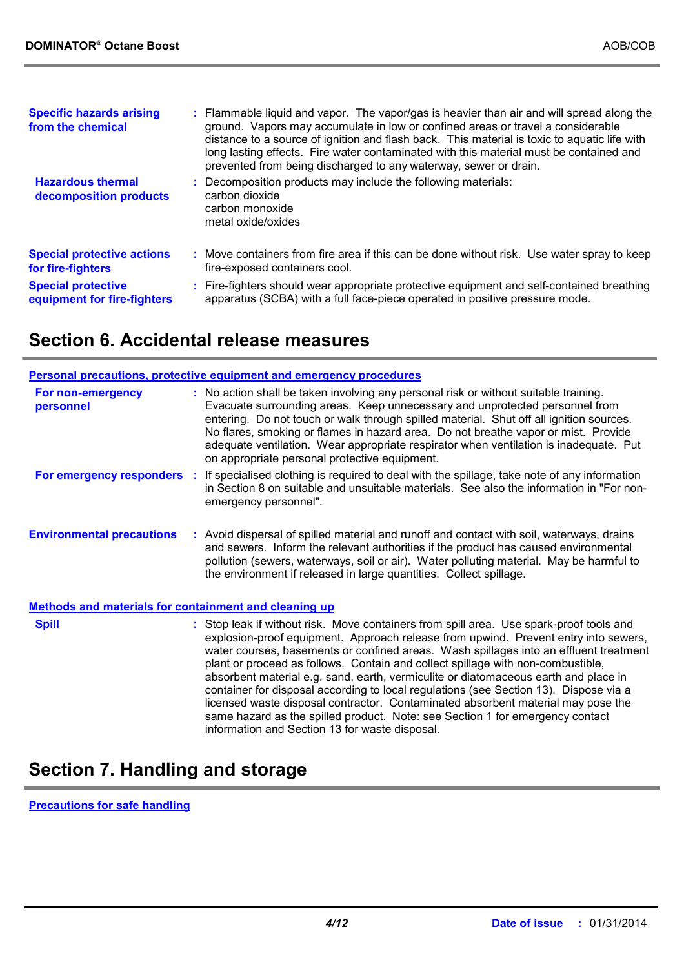| <b>Specific hazards arising</b><br>from the chemical     | : Flammable liquid and vapor. The vapor/gas is heavier than air and will spread along the<br>ground. Vapors may accumulate in low or confined areas or travel a considerable<br>distance to a source of ignition and flash back. This material is toxic to aquatic life with<br>long lasting effects. Fire water contaminated with this material must be contained and<br>prevented from being discharged to any waterway, sewer or drain. |
|----------------------------------------------------------|--------------------------------------------------------------------------------------------------------------------------------------------------------------------------------------------------------------------------------------------------------------------------------------------------------------------------------------------------------------------------------------------------------------------------------------------|
| <b>Hazardous thermal</b><br>decomposition products       | : Decomposition products may include the following materials:<br>carbon dioxide<br>carbon monoxide<br>metal oxide/oxides                                                                                                                                                                                                                                                                                                                   |
| <b>Special protective actions</b><br>for fire-fighters   | : Move containers from fire area if this can be done without risk. Use water spray to keep<br>fire-exposed containers cool.                                                                                                                                                                                                                                                                                                                |
| <b>Special protective</b><br>equipment for fire-fighters | : Fire-fighters should wear appropriate protective equipment and self-contained breathing<br>apparatus (SCBA) with a full face-piece operated in positive pressure mode.                                                                                                                                                                                                                                                                   |

### **Section 6. Accidental release measures**

|                                                              |    | <b>Personal precautions, protective equipment and emergency procedures</b>                                                                                                                                                                                                                                                                                                                                                                                                                                                                                                                                                                                                                                                                                        |
|--------------------------------------------------------------|----|-------------------------------------------------------------------------------------------------------------------------------------------------------------------------------------------------------------------------------------------------------------------------------------------------------------------------------------------------------------------------------------------------------------------------------------------------------------------------------------------------------------------------------------------------------------------------------------------------------------------------------------------------------------------------------------------------------------------------------------------------------------------|
| For non-emergency<br>personnel                               |    | : No action shall be taken involving any personal risk or without suitable training.<br>Evacuate surrounding areas. Keep unnecessary and unprotected personnel from<br>entering. Do not touch or walk through spilled material. Shut off all ignition sources.<br>No flares, smoking or flames in hazard area. Do not breathe vapor or mist. Provide<br>adequate ventilation. Wear appropriate respirator when ventilation is inadequate. Put<br>on appropriate personal protective equipment.                                                                                                                                                                                                                                                                    |
| For emergency responders                                     | ÷. | If specialised clothing is required to deal with the spillage, take note of any information<br>in Section 8 on suitable and unsuitable materials. See also the information in "For non-<br>emergency personnel".                                                                                                                                                                                                                                                                                                                                                                                                                                                                                                                                                  |
| <b>Environmental precautions</b>                             |    | : Avoid dispersal of spilled material and runoff and contact with soil, waterways, drains<br>and sewers. Inform the relevant authorities if the product has caused environmental<br>pollution (sewers, waterways, soil or air). Water polluting material. May be harmful to<br>the environment if released in large quantities. Collect spillage.                                                                                                                                                                                                                                                                                                                                                                                                                 |
| <b>Methods and materials for containment and cleaning up</b> |    |                                                                                                                                                                                                                                                                                                                                                                                                                                                                                                                                                                                                                                                                                                                                                                   |
| <b>Spill</b>                                                 |    | : Stop leak if without risk. Move containers from spill area. Use spark-proof tools and<br>explosion-proof equipment. Approach release from upwind. Prevent entry into sewers,<br>water courses, basements or confined areas. Wash spillages into an effluent treatment<br>plant or proceed as follows. Contain and collect spillage with non-combustible,<br>absorbent material e.g. sand, earth, vermiculite or diatomaceous earth and place in<br>container for disposal according to local regulations (see Section 13). Dispose via a<br>licensed waste disposal contractor. Contaminated absorbent material may pose the<br>same hazard as the spilled product. Note: see Section 1 for emergency contact<br>information and Section 13 for waste disposal. |

# **Section 7. Handling and storage**

**Precautions for safe handling**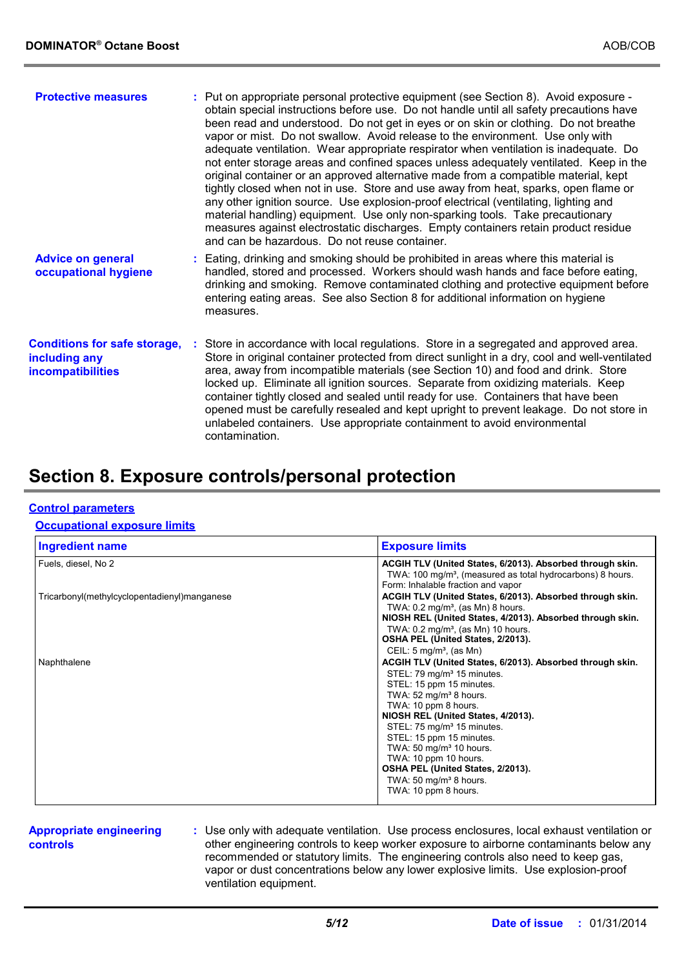| <b>Protective measures</b>                                                       | : Put on appropriate personal protective equipment (see Section 8). Avoid exposure -<br>obtain special instructions before use. Do not handle until all safety precautions have<br>been read and understood. Do not get in eyes or on skin or clothing. Do not breathe<br>vapor or mist. Do not swallow. Avoid release to the environment. Use only with<br>adequate ventilation. Wear appropriate respirator when ventilation is inadequate. Do<br>not enter storage areas and confined spaces unless adequately ventilated. Keep in the<br>original container or an approved alternative made from a compatible material, kept<br>tightly closed when not in use. Store and use away from heat, sparks, open flame or<br>any other ignition source. Use explosion-proof electrical (ventilating, lighting and<br>material handling) equipment. Use only non-sparking tools. Take precautionary<br>measures against electrostatic discharges. Empty containers retain product residue<br>and can be hazardous. Do not reuse container. |
|----------------------------------------------------------------------------------|-----------------------------------------------------------------------------------------------------------------------------------------------------------------------------------------------------------------------------------------------------------------------------------------------------------------------------------------------------------------------------------------------------------------------------------------------------------------------------------------------------------------------------------------------------------------------------------------------------------------------------------------------------------------------------------------------------------------------------------------------------------------------------------------------------------------------------------------------------------------------------------------------------------------------------------------------------------------------------------------------------------------------------------------|
| <b>Advice on general</b><br>occupational hygiene                                 | : Eating, drinking and smoking should be prohibited in areas where this material is<br>handled, stored and processed. Workers should wash hands and face before eating,<br>drinking and smoking. Remove contaminated clothing and protective equipment before<br>entering eating areas. See also Section 8 for additional information on hygiene<br>measures.                                                                                                                                                                                                                                                                                                                                                                                                                                                                                                                                                                                                                                                                           |
| <b>Conditions for safe storage,</b><br>including any<br><b>incompatibilities</b> | : Store in accordance with local regulations. Store in a segregated and approved area.<br>Store in original container protected from direct sunlight in a dry, cool and well-ventilated<br>area, away from incompatible materials (see Section 10) and food and drink. Store<br>locked up. Eliminate all ignition sources. Separate from oxidizing materials. Keep<br>container tightly closed and sealed until ready for use. Containers that have been<br>opened must be carefully resealed and kept upright to prevent leakage. Do not store in<br>unlabeled containers. Use appropriate containment to avoid environmental<br>contamination.                                                                                                                                                                                                                                                                                                                                                                                        |

### **Section 8. Exposure controls/personal protection**

#### **Control parameters**

#### **Occupational exposure limits**

| <b>Ingredient name</b>                       | <b>Exposure limits</b>                                                                                                                                                                                                                                                                                                                                                                                                                                                      |
|----------------------------------------------|-----------------------------------------------------------------------------------------------------------------------------------------------------------------------------------------------------------------------------------------------------------------------------------------------------------------------------------------------------------------------------------------------------------------------------------------------------------------------------|
| Fuels, diesel, No 2                          | ACGIH TLV (United States, 6/2013). Absorbed through skin.<br>TWA: 100 mg/m <sup>3</sup> , (measured as total hydrocarbons) 8 hours.<br>Form: Inhalable fraction and vapor                                                                                                                                                                                                                                                                                                   |
| Tricarbonyl(methylcyclopentadienyl)manganese | ACGIH TLV (United States, 6/2013). Absorbed through skin.<br>TWA: $0.2 \text{ mg/m}^3$ , (as Mn) 8 hours.<br>NIOSH REL (United States, 4/2013). Absorbed through skin.<br>TWA: $0.2 \text{ mg/m}^3$ , (as Mn) 10 hours.<br>OSHA PEL (United States, 2/2013).<br>CEIL: $5 \text{ mg/m}^3$ , (as Mn)                                                                                                                                                                          |
| Naphthalene                                  | ACGIH TLV (United States, 6/2013). Absorbed through skin.<br>STEL: 79 mg/m <sup>3</sup> 15 minutes.<br>STEL: 15 ppm 15 minutes.<br>TWA: $52 \text{ mg/m}^3$ 8 hours.<br>TWA: 10 ppm 8 hours.<br>NIOSH REL (United States, 4/2013).<br>STEL: 75 mg/m <sup>3</sup> 15 minutes.<br>STEL: 15 ppm 15 minutes.<br>TWA: 50 mg/m <sup>3</sup> 10 hours.<br>TWA: 10 ppm 10 hours.<br>OSHA PEL (United States, 2/2013).<br>TWA: 50 mg/m <sup>3</sup> 8 hours.<br>TWA: 10 ppm 8 hours. |

#### **Appropriate engineering controls**

**:** Use only with adequate ventilation. Use process enclosures, local exhaust ventilation or other engineering controls to keep worker exposure to airborne contaminants below any recommended or statutory limits. The engineering controls also need to keep gas, vapor or dust concentrations below any lower explosive limits. Use explosion-proof ventilation equipment.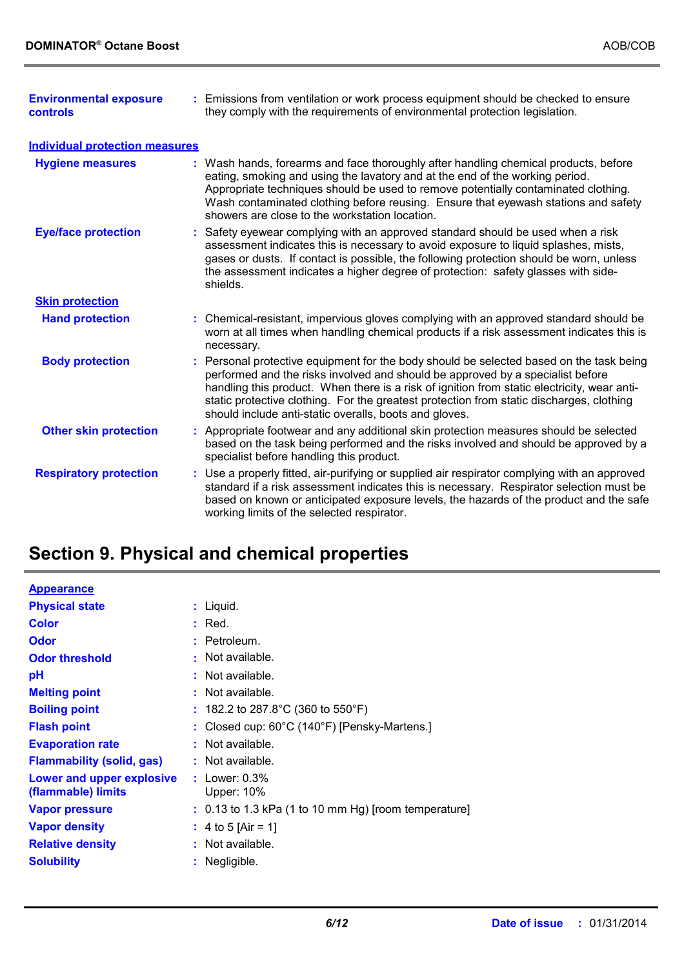| <b>Environmental exposure</b><br>controls | : Emissions from ventilation or work process equipment should be checked to ensure<br>they comply with the requirements of environmental protection legislation.                                                                                                                                                                                                                                                               |
|-------------------------------------------|--------------------------------------------------------------------------------------------------------------------------------------------------------------------------------------------------------------------------------------------------------------------------------------------------------------------------------------------------------------------------------------------------------------------------------|
| <b>Individual protection measures</b>     |                                                                                                                                                                                                                                                                                                                                                                                                                                |
| <b>Hygiene measures</b>                   | : Wash hands, forearms and face thoroughly after handling chemical products, before<br>eating, smoking and using the lavatory and at the end of the working period.<br>Appropriate techniques should be used to remove potentially contaminated clothing.<br>Wash contaminated clothing before reusing. Ensure that eyewash stations and safety<br>showers are close to the workstation location.                              |
| <b>Eye/face protection</b>                | : Safety eyewear complying with an approved standard should be used when a risk<br>assessment indicates this is necessary to avoid exposure to liquid splashes, mists,<br>gases or dusts. If contact is possible, the following protection should be worn, unless<br>the assessment indicates a higher degree of protection: safety glasses with side-<br>shields.                                                             |
| <b>Skin protection</b>                    |                                                                                                                                                                                                                                                                                                                                                                                                                                |
| <b>Hand protection</b>                    | : Chemical-resistant, impervious gloves complying with an approved standard should be<br>worn at all times when handling chemical products if a risk assessment indicates this is<br>necessary.                                                                                                                                                                                                                                |
| <b>Body protection</b>                    | : Personal protective equipment for the body should be selected based on the task being<br>performed and the risks involved and should be approved by a specialist before<br>handling this product. When there is a risk of ignition from static electricity, wear anti-<br>static protective clothing. For the greatest protection from static discharges, clothing<br>should include anti-static overalls, boots and gloves. |
| <b>Other skin protection</b>              | : Appropriate footwear and any additional skin protection measures should be selected<br>based on the task being performed and the risks involved and should be approved by a<br>specialist before handling this product.                                                                                                                                                                                                      |
| <b>Respiratory protection</b>             | : Use a properly fitted, air-purifying or supplied air respirator complying with an approved<br>standard if a risk assessment indicates this is necessary. Respirator selection must be<br>based on known or anticipated exposure levels, the hazards of the product and the safe<br>working limits of the selected respirator.                                                                                                |

# **Section 9. Physical and chemical properties**

| <b>Appearance</b>                               |                                                                   |
|-------------------------------------------------|-------------------------------------------------------------------|
| <b>Physical state</b>                           | $:$ Liquid.                                                       |
| <b>Color</b>                                    | $:$ Red.                                                          |
| <b>Odor</b>                                     | : Petroleum.                                                      |
| <b>Odor threshold</b>                           | $:$ Not available.                                                |
| рH                                              | $:$ Not available.                                                |
| <b>Melting point</b>                            | $:$ Not available.                                                |
| <b>Boiling point</b>                            | : 182.2 to 287.8°C (360 to 550°F)                                 |
| <b>Flash point</b>                              | : Closed cup: $60^{\circ}$ C (140 $^{\circ}$ F) [Pensky-Martens.] |
| <b>Evaporation rate</b>                         | : Not available.                                                  |
| <b>Flammability (solid, gas)</b>                | : Not available.                                                  |
| Lower and upper explosive<br>(flammable) limits | : Lower: $0.3\%$<br><b>Upper: 10%</b>                             |
| Vapor pressure                                  | $: 0.13$ to 1.3 kPa (1 to 10 mm Hg) [room temperature]            |
| <b>Vapor density</b>                            | : 4 to 5 [Air = 1]                                                |
| <b>Relative density</b>                         | $:$ Not available.                                                |
| <b>Solubility</b>                               | $:$ Negligible.                                                   |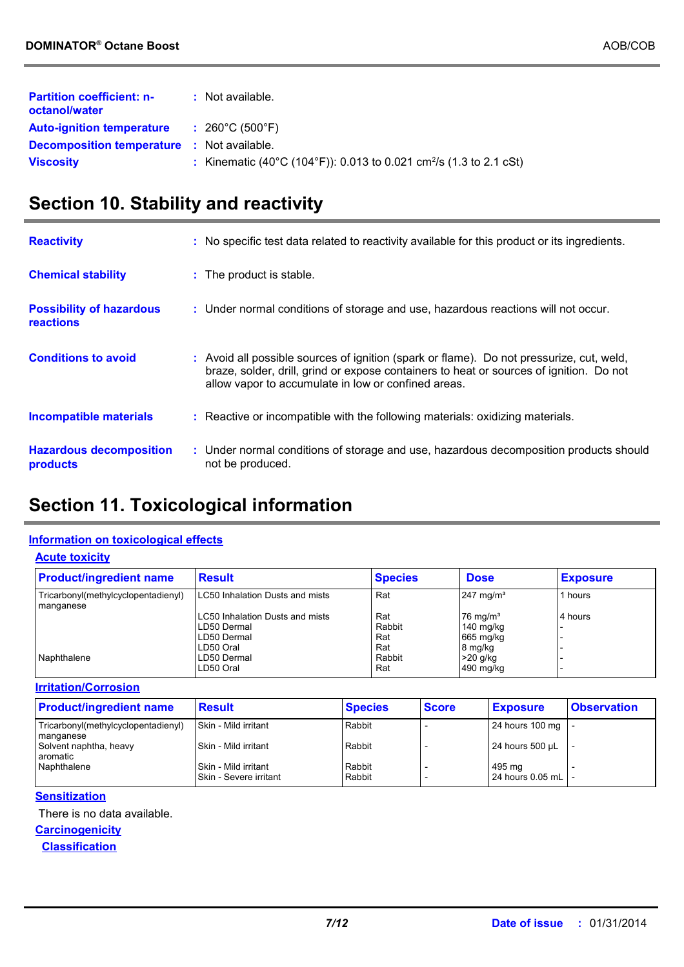| <b>Partition coefficient: n-</b><br>octanol/water | : Not available.                                                               |
|---------------------------------------------------|--------------------------------------------------------------------------------|
| <b>Auto-ignition temperature</b>                  | $: 260^{\circ}$ C (500 $^{\circ}$ F)                                           |
| <b>Decomposition temperature : Not available.</b> |                                                                                |
| <b>Viscosity</b>                                  | : Kinematic (40°C (104°F)): 0.013 to 0.021 cm <sup>2</sup> /s (1.3 to 2.1 cSt) |

# **Section 10. Stability and reactivity**

| <b>Reactivity</b>                                   | : No specific test data related to reactivity available for this product or its ingredients.                                                                                                                                               |
|-----------------------------------------------------|--------------------------------------------------------------------------------------------------------------------------------------------------------------------------------------------------------------------------------------------|
| <b>Chemical stability</b>                           | : The product is stable.                                                                                                                                                                                                                   |
| <b>Possibility of hazardous</b><br><b>reactions</b> | : Under normal conditions of storage and use, hazardous reactions will not occur.                                                                                                                                                          |
| <b>Conditions to avoid</b>                          | : Avoid all possible sources of ignition (spark or flame). Do not pressurize, cut, weld,<br>braze, solder, drill, grind or expose containers to heat or sources of ignition. Do not<br>allow vapor to accumulate in low or confined areas. |
| <b>Incompatible materials</b>                       | : Reactive or incompatible with the following materials: oxidizing materials.                                                                                                                                                              |
| <b>Hazardous decomposition</b><br>products          | : Under normal conditions of storage and use, hazardous decomposition products should<br>not be produced.                                                                                                                                  |

# **Section 11. Toxicological information**

### **Information on toxicological effects**

**Acute toxicity**

| <b>Product/ingredient name</b>                   | <b>Result</b>                   | <b>Species</b> | <b>Dose</b>          | <b>Exposure</b> |
|--------------------------------------------------|---------------------------------|----------------|----------------------|-----------------|
| Tricarbonyl(methylcyclopentadienyl)<br>manganese | LC50 Inhalation Dusts and mists | Rat            | $247 \text{ mg/m}^3$ | 1 hours         |
|                                                  | LC50 Inhalation Dusts and mists | Rat            | $176 \text{ mg/m}^3$ | 4 hours         |
|                                                  | LD50 Dermal                     | Rabbit         | 140 mg/kg            |                 |
|                                                  | LD50 Dermal                     | Rat            | 665 mg/kg            |                 |
|                                                  | LD50 Oral                       | Rat            | 8 mg/kg              |                 |
| Naphthalene                                      | LD50 Dermal                     | Rabbit         | $>20$ g/kg           |                 |
|                                                  | LD50 Oral                       | Rat            | 490 mg/kg            |                 |

#### **Irritation/Corrosion**

| <b>Product/ingredient name</b>                   | <b>Result</b>                                      | <b>Species</b>   | <b>Score</b> | <b>Exposure</b>              | <b>Observation</b> |
|--------------------------------------------------|----------------------------------------------------|------------------|--------------|------------------------------|--------------------|
| Tricarbonyl(methylcyclopentadienyl)<br>manganese | l Skin - Mild irritant                             | Rabbit           |              | 24 hours 100 mg   -          |                    |
| Solvent naphtha, heavy<br>aromatic               | l Skin - Mild irritant                             | Rabbit           |              | 24 hours $500 \mu L$         |                    |
| Naphthalene                                      | l Skin - Mild irritant<br>l Skin - Severe irritant | Rabbit<br>Rabbit |              | 495 mg<br>24 hours 0.05 mL - |                    |

#### **Sensitization**

There is no data available.

**Carcinogenicity Classification**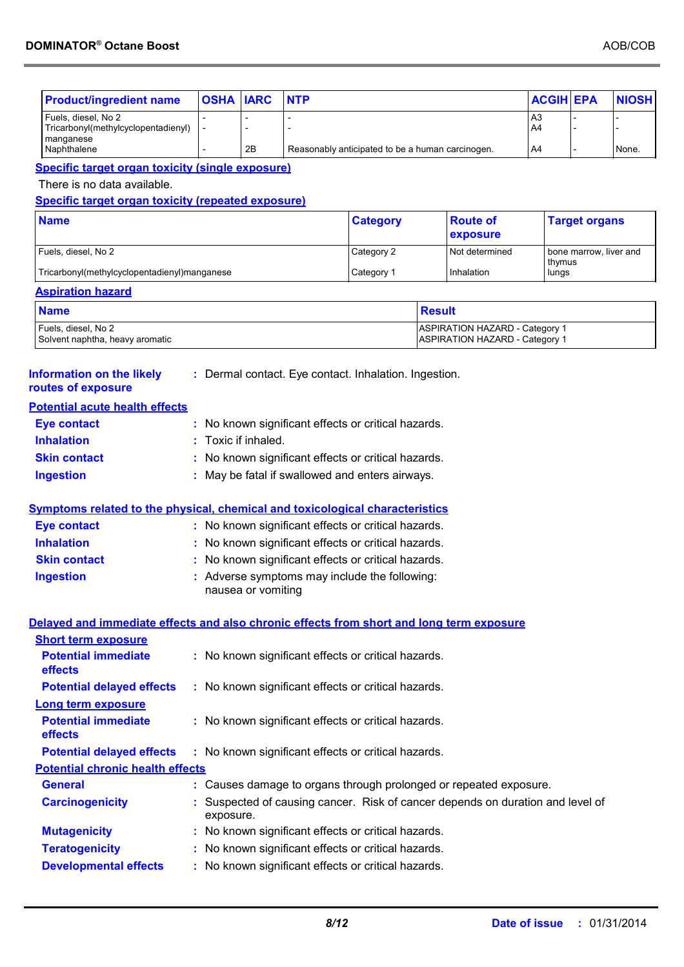| <b>Product/ingredient name</b>                                                           | <b>OSHA IARC</b>                                    |                                                                            | <b>NTP</b> |                                                                                |               |                                       | <b>ACGIH EPA</b>     |                        | <b>NIOSH</b> |
|------------------------------------------------------------------------------------------|-----------------------------------------------------|----------------------------------------------------------------------------|------------|--------------------------------------------------------------------------------|---------------|---------------------------------------|----------------------|------------------------|--------------|
| Fuels, diesel, No 2<br>Tricarbonyl(methylcyclopentadienyl)                               |                                                     |                                                                            |            |                                                                                |               |                                       | A <sub>3</sub><br>A4 |                        |              |
| manganese                                                                                |                                                     |                                                                            |            |                                                                                |               |                                       |                      |                        |              |
| Naphthalene                                                                              |                                                     | 2Β                                                                         |            | Reasonably anticipated to be a human carcinogen.                               |               |                                       | A4                   |                        | None.        |
| <b>Specific target organ toxicity (single exposure)</b>                                  |                                                     |                                                                            |            |                                                                                |               |                                       |                      |                        |              |
| There is no data available.                                                              |                                                     |                                                                            |            |                                                                                |               |                                       |                      |                        |              |
| <b>Specific target organ toxicity (repeated exposure)</b>                                |                                                     |                                                                            |            |                                                                                |               |                                       |                      |                        |              |
| <b>Name</b>                                                                              |                                                     |                                                                            |            | <b>Category</b>                                                                |               | <b>Route of</b><br>exposure           |                      | <b>Target organs</b>   |              |
| Fuels, diesel, No 2                                                                      |                                                     |                                                                            |            | Category 2                                                                     |               | Not determined                        |                      | bone marrow, liver and |              |
| Tricarbonyl(methylcyclopentadienyl)manganese                                             |                                                     |                                                                            |            | Category 1                                                                     |               | Inhalation                            | thymus<br>lungs      |                        |              |
| <b>Aspiration hazard</b>                                                                 |                                                     |                                                                            |            |                                                                                |               |                                       |                      |                        |              |
| <b>Name</b>                                                                              |                                                     |                                                                            |            |                                                                                | <b>Result</b> |                                       |                      |                        |              |
| Fuels, diesel, No 2                                                                      |                                                     |                                                                            |            |                                                                                |               | <b>ASPIRATION HAZARD - Category 1</b> |                      |                        |              |
| Solvent naphtha, heavy aromatic                                                          |                                                     |                                                                            |            |                                                                                |               | <b>ASPIRATION HAZARD - Category 1</b> |                      |                        |              |
|                                                                                          |                                                     |                                                                            |            |                                                                                |               |                                       |                      |                        |              |
| <b>Information on the likely</b><br>routes of exposure                                   |                                                     |                                                                            |            | : Dermal contact. Eye contact. Inhalation. Ingestion.                          |               |                                       |                      |                        |              |
| <b>Potential acute health effects</b>                                                    |                                                     |                                                                            |            |                                                                                |               |                                       |                      |                        |              |
| <b>Eye contact</b>                                                                       |                                                     |                                                                            |            |                                                                                |               |                                       |                      |                        |              |
| <b>Inhalation</b>                                                                        |                                                     | : No known significant effects or critical hazards.<br>: Toxic if inhaled. |            |                                                                                |               |                                       |                      |                        |              |
|                                                                                          | : No known significant effects or critical hazards. |                                                                            |            |                                                                                |               |                                       |                      |                        |              |
| <b>Skin contact</b>                                                                      |                                                     |                                                                            |            |                                                                                |               |                                       |                      |                        |              |
| <b>Ingestion</b>                                                                         |                                                     |                                                                            |            | : May be fatal if swallowed and enters airways.                                |               |                                       |                      |                        |              |
|                                                                                          |                                                     |                                                                            |            |                                                                                |               |                                       |                      |                        |              |
| <u>Symptoms related to the physical, chemical and toxicological characteristics</u>      |                                                     |                                                                            |            |                                                                                |               |                                       |                      |                        |              |
| <b>Eye contact</b>                                                                       |                                                     |                                                                            |            | : No known significant effects or critical hazards.                            |               |                                       |                      |                        |              |
| <b>Inhalation</b>                                                                        |                                                     |                                                                            |            | : No known significant effects or critical hazards.                            |               |                                       |                      |                        |              |
| <b>Skin contact</b>                                                                      |                                                     |                                                                            |            | No known significant effects or critical hazards.                              |               |                                       |                      |                        |              |
| <b>Ingestion</b>                                                                         |                                                     | nausea or vomiting                                                         |            | : Adverse symptoms may include the following:                                  |               |                                       |                      |                        |              |
|                                                                                          |                                                     |                                                                            |            |                                                                                |               |                                       |                      |                        |              |
| Delayed and immediate effects and also chronic effects from short and long term exposure |                                                     |                                                                            |            |                                                                                |               |                                       |                      |                        |              |
| <b>Short term exposure</b>                                                               |                                                     |                                                                            |            |                                                                                |               |                                       |                      |                        |              |
| <b>Potential immediate</b><br>effects                                                    |                                                     |                                                                            |            | : No known significant effects or critical hazards.                            |               |                                       |                      |                        |              |
| <b>Potential delayed effects</b>                                                         |                                                     |                                                                            |            | : No known significant effects or critical hazards.                            |               |                                       |                      |                        |              |
| <b>Long term exposure</b>                                                                |                                                     |                                                                            |            |                                                                                |               |                                       |                      |                        |              |
| <b>Potential immediate</b><br>effects                                                    |                                                     |                                                                            |            | : No known significant effects or critical hazards.                            |               |                                       |                      |                        |              |
| <b>Potential delayed effects</b>                                                         |                                                     |                                                                            |            | : No known significant effects or critical hazards.                            |               |                                       |                      |                        |              |
| <b>Potential chronic health effects</b>                                                  |                                                     |                                                                            |            |                                                                                |               |                                       |                      |                        |              |
| <b>General</b>                                                                           |                                                     |                                                                            |            | : Causes damage to organs through prolonged or repeated exposure.              |               |                                       |                      |                        |              |
| <b>Carcinogenicity</b>                                                                   | exposure.                                           |                                                                            |            | : Suspected of causing cancer. Risk of cancer depends on duration and level of |               |                                       |                      |                        |              |
| <b>Mutagenicity</b>                                                                      |                                                     |                                                                            |            | : No known significant effects or critical hazards.                            |               |                                       |                      |                        |              |
| <b>Teratogenicity</b>                                                                    |                                                     |                                                                            |            | : No known significant effects or critical hazards.                            |               |                                       |                      |                        |              |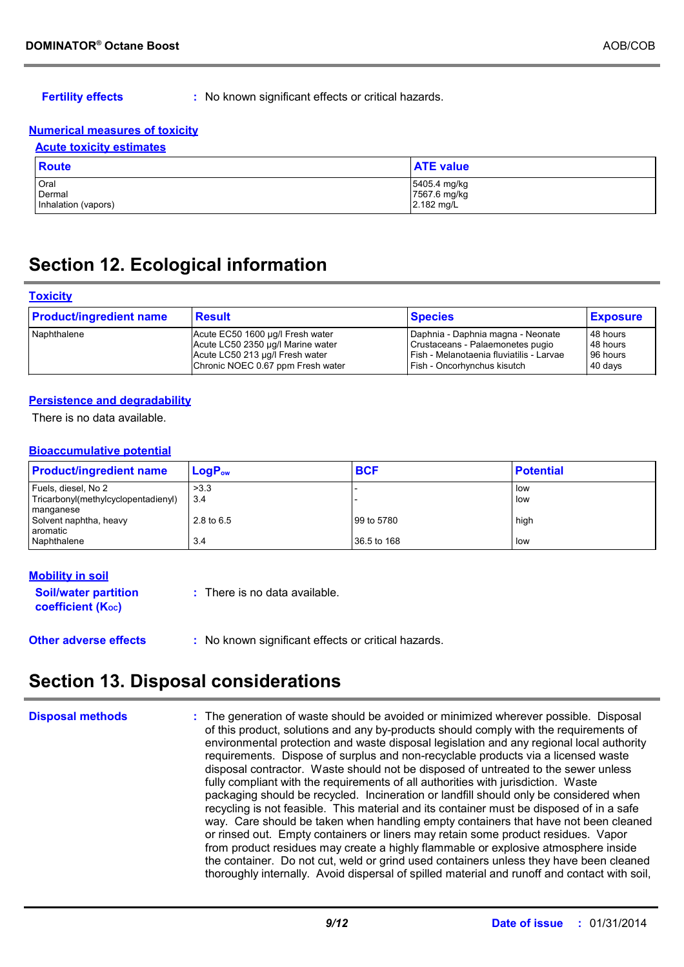**Fertility effects :** No known significant effects or critical hazards.

#### **Numerical measures of toxicity**

| <b>Acute toxicity estimates</b>       |                                            |  |  |  |  |
|---------------------------------------|--------------------------------------------|--|--|--|--|
| Route                                 | <b>ATE</b> value                           |  |  |  |  |
| Oral<br>Dermal<br>Inhalation (vapors) | 5405.4 mg/kg<br>7567.6 mg/kg<br>2.182 mg/L |  |  |  |  |

### **Section 12. Ecological information**

#### **Toxicity**

| <b>Product/ingredient name</b> | <b>Result</b>                     | <b>Species</b>                           | <b>Exposure</b> |
|--------------------------------|-----------------------------------|------------------------------------------|-----------------|
| Naphthalene                    | Acute EC50 1600 µg/l Fresh water  | Daphnia - Daphnia magna - Neonate        | 48 hours        |
|                                | Acute LC50 2350 µg/l Marine water | Crustaceans - Palaemonetes pugio         | 48 hours        |
|                                | Acute LC50 213 µg/l Fresh water   | Fish - Melanotaenia fluviatilis - Larvae | 96 hours        |
|                                | Chronic NOEC 0.67 ppm Fresh water | Fish - Oncorhynchus kisutch              | 40 days         |

#### **Persistence and degradability**

There is no data available.

#### **Bioaccumulative potential**

| <b>Product/ingredient name</b>                             | $LogP_{ow}$ | <b>BCF</b>  | <b>Potential</b> |
|------------------------------------------------------------|-------------|-------------|------------------|
| Fuels, diesel, No 2<br>Tricarbonyl(methylcyclopentadienyl) | >3.3<br>3.4 |             | low<br>low       |
| manganese<br>Solvent naphtha, heavy<br>aromatic            | 2.8 to 6.5  | 99 to 5780  | high             |
| Naphthalene                                                | 3.4         | 36.5 to 168 | low              |

### **Other adverse effects** : No known significant effects or critical hazards. **Soil/water partition coefficient (Koc) :** There is no data available. **Mobility in soil**

## **Section 13. Disposal considerations**

|  | <b>Disposal methods</b> |  |
|--|-------------------------|--|
|  |                         |  |

**Disposal methods** : The generation of waste should be avoided or minimized wherever possible. Disposal of this product, solutions and any by-products should comply with the requirements of environmental protection and waste disposal legislation and any regional local authority requirements. Dispose of surplus and non-recyclable products via a licensed waste disposal contractor. Waste should not be disposed of untreated to the sewer unless fully compliant with the requirements of all authorities with jurisdiction. Waste packaging should be recycled. Incineration or landfill should only be considered when recycling is not feasible. This material and its container must be disposed of in a safe way. Care should be taken when handling empty containers that have not been cleaned or rinsed out. Empty containers or liners may retain some product residues. Vapor from product residues may create a highly flammable or explosive atmosphere inside the container. Do not cut, weld or grind used containers unless they have been cleaned thoroughly internally. Avoid dispersal of spilled material and runoff and contact with soil,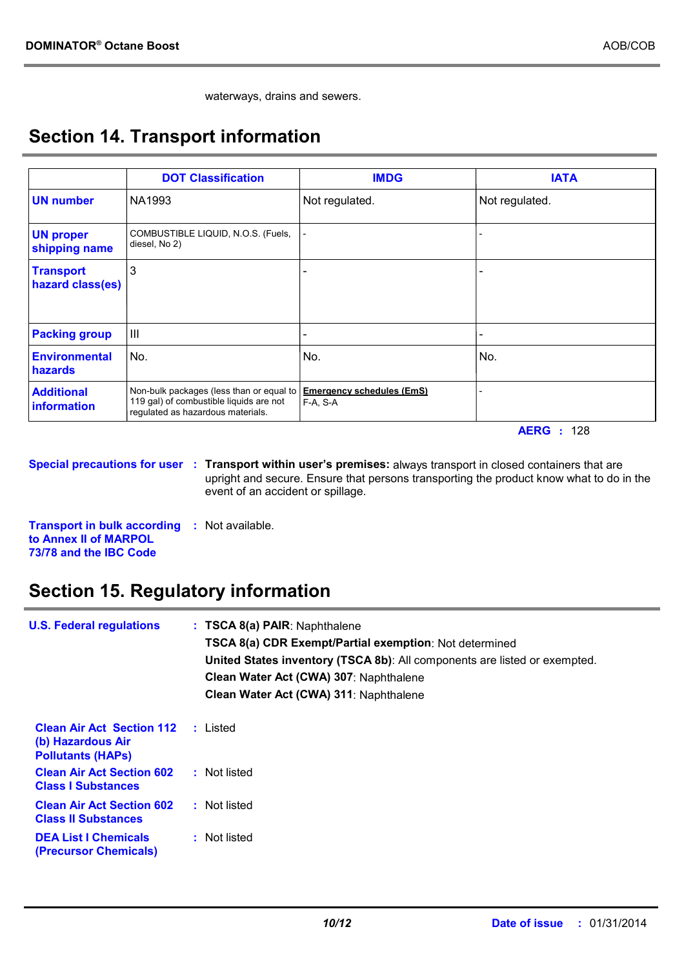waterways, drains and sewers.

# **Section 14. Transport information**

|                                      | <b>DOT Classification</b>                                                                                                | <b>IMDG</b>                                  | <b>IATA</b>    |
|--------------------------------------|--------------------------------------------------------------------------------------------------------------------------|----------------------------------------------|----------------|
| <b>UN number</b>                     | NA1993                                                                                                                   | Not regulated.                               | Not regulated. |
| <b>UN proper</b><br>shipping name    | COMBUSTIBLE LIQUID, N.O.S. (Fuels,<br>diesel, No 2)                                                                      |                                              |                |
| <b>Transport</b><br>hazard class(es) | 3                                                                                                                        |                                              |                |
| <b>Packing group</b>                 | $\mathbf{III}$                                                                                                           |                                              |                |
| <b>Environmental</b><br>hazards      | No.                                                                                                                      | No.                                          | No.            |
| <b>Additional</b><br>information     | Non-bulk packages (less than or equal to<br>119 gal) of combustible liquids are not<br>regulated as hazardous materials. | <b>Emergency schedules (EmS)</b><br>F-A, S-A |                |

**AERG :** 128

**Special precautions for user** : Transport within user's premises: always transport in closed containers that are upright and secure. Ensure that persons transporting the product know what to do in the event of an accident or spillage.

**Transport in bulk according :** Not available. **to Annex II of MARPOL 73/78 and the IBC Code**

# **Section 15. Regulatory information**

| <b>U.S. Federal regulations</b>                                                   | : TSCA 8(a) PAIR: Naphthalene<br>TSCA 8(a) CDR Exempt/Partial exemption: Not determined<br>United States inventory (TSCA 8b): All components are listed or exempted.<br>Clean Water Act (CWA) 307: Naphthalene<br>Clean Water Act (CWA) 311: Naphthalene |
|-----------------------------------------------------------------------------------|----------------------------------------------------------------------------------------------------------------------------------------------------------------------------------------------------------------------------------------------------------|
| <b>Clean Air Act Section 112</b><br>(b) Hazardous Air<br><b>Pollutants (HAPS)</b> | : Listed                                                                                                                                                                                                                                                 |
| <b>Clean Air Act Section 602</b><br><b>Class I Substances</b>                     | : Not listed                                                                                                                                                                                                                                             |
| <b>Clean Air Act Section 602</b><br><b>Class II Substances</b>                    | : Not listed                                                                                                                                                                                                                                             |
| <b>DEA List I Chemicals</b><br>(Precursor Chemicals)                              | : Not listed                                                                                                                                                                                                                                             |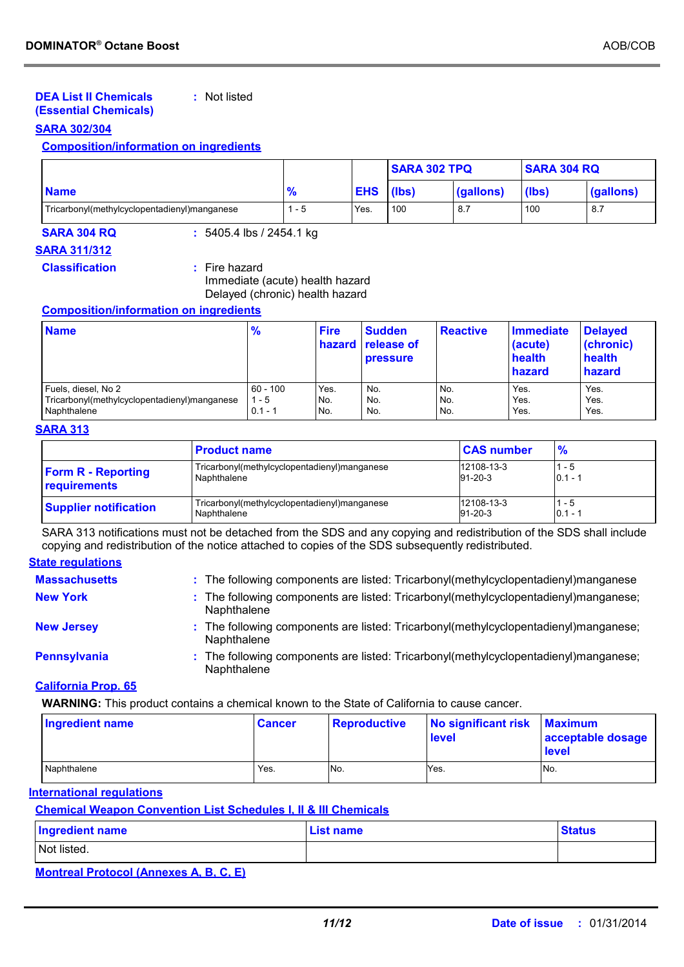#### **DEA List II Chemicals (Essential Chemicals) :** Not listed

#### **SARA 302/304**

### **Composition/information on ingredients**

|                                              |                    |            | <b>SARA 302 TPQ</b> |           | <b>SARA 304 RQ</b> |           |
|----------------------------------------------|--------------------|------------|---------------------|-----------|--------------------|-----------|
| <b>Name</b>                                  | $\mathbf{O}$<br>70 | <b>EHS</b> | (lbs)               | (gallons) | (lbs)              | (gallons) |
| Tricarbonyl(methylcyclopentadienyl)manganese | - 5                | Yes.       | 100                 | 8.7       | 100                | 8.7       |

**SARA 304 RQ :** 5405.4 lbs / 2454.1 kg

### **SARA 311/312**

**Classification :** Fire hazard

Immediate (acute) health hazard Delayed (chronic) health hazard

#### **Composition/information on ingredients**

| <b>Name</b>                                  | $\frac{9}{6}$ | <b>Fire</b> | <b>Sudden</b><br><b>hazard</b> release of<br><b>pressure</b> | <b>Reactive</b> | <b>Immediate</b><br>(acute)<br>health<br>hazard | <b>Delayed</b><br>(chronic)<br>health<br>hazard |
|----------------------------------------------|---------------|-------------|--------------------------------------------------------------|-----------------|-------------------------------------------------|-------------------------------------------------|
| Fuels, diesel, No 2                          | $60 - 100$    | Yes.        | No.                                                          | No.             | Yes.                                            | Yes.                                            |
| Tricarbonyl(methylcyclopentadienyl)manganese | $1 - 5$       | No.         | No.                                                          | No.             | Yes.                                            | Yes.                                            |
| Naphthalene                                  | $0.1 - 1$     | No.         | No.                                                          | No.             | Yes.                                            | Yes.                                            |

#### **SARA 313**

|                              | <b>Product name</b>                          | <b>CAS number</b> | %         |
|------------------------------|----------------------------------------------|-------------------|-----------|
| <b>Form R - Reporting</b>    | Tricarbonyl(methylcyclopentadienyl)manganese | 12108-13-3        | $-5$      |
| requirements                 | Naphthalene                                  | $91 - 20 - 3$     | $0.1 - 1$ |
| <b>Supplier notification</b> | Tricarbonyl(methylcyclopentadienyl)manganese | 12108-13-3        | - 5       |
|                              | Naphthalene                                  | $91 - 20 - 3$     | $0.1 - 1$ |

SARA 313 notifications must not be detached from the SDS and any copying and redistribution of the SDS shall include copying and redistribution of the notice attached to copies of the SDS subsequently redistributed.

### **State regulations**

| <b>Massachusetts</b> | : The following components are listed: Tricarbonyl(methylcyclopentadienyl)manganese                 |
|----------------------|-----------------------------------------------------------------------------------------------------|
| <b>New York</b>      | : The following components are listed: Tricarbonyl(methylcyclopentadienyl)manganese;<br>Naphthalene |
| <b>New Jersey</b>    | : The following components are listed: Tricarbonyl(methylcyclopentadienyl)manganese;<br>Naphthalene |
| <b>Pennsylvania</b>  | : The following components are listed: Tricarbonyl(methylcyclopentadienyl)manganese;<br>Naphthalene |
|                      |                                                                                                     |

#### **California Prop. 65**

**WARNING:** This product contains a chemical known to the State of California to cause cancer.

| <b>Ingredient name</b> | <b>Cancer</b> | Reproductive | No significant risk<br><b>level</b> | <b>Maximum</b><br>acceptable dosage<br><b>level</b> |
|------------------------|---------------|--------------|-------------------------------------|-----------------------------------------------------|
| Naphthalene            | Yes.          | No.          | Yes.                                | No.                                                 |

#### **International regulations**

### **Chemical Weapon Convention List Schedules I, II & III Chemicals**

| <b>Ingredient name</b> | <b>List name</b> | <b>Status</b> |
|------------------------|------------------|---------------|
| Not listed.            |                  |               |

### **Montreal Protocol (Annexes A, B, C, E)**